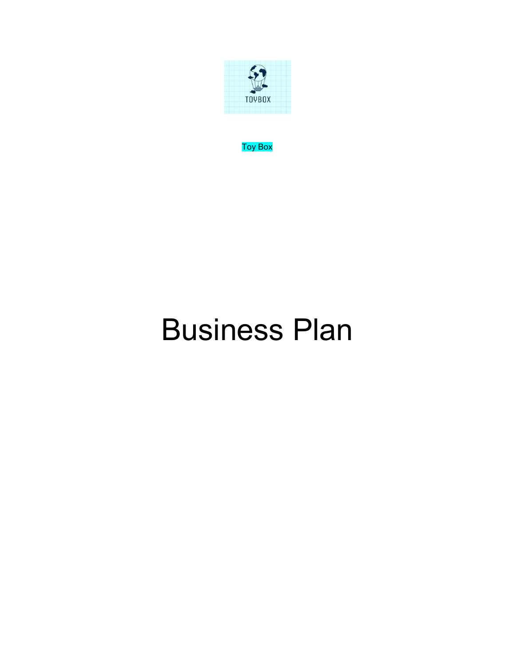

Toy Box

# Business Plan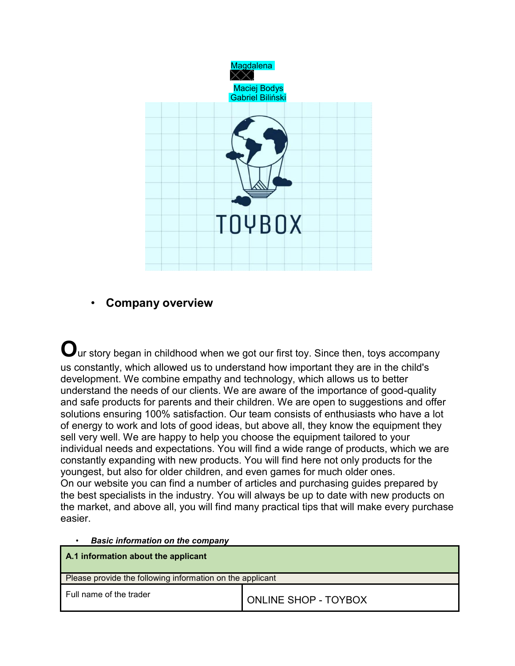

# • **Company overview**

 $\mathbf O$ ur story began in childhood when we got our first toy. Since then, toys accompany us constantly, which allowed us to understand how important they are in the child's development. We combine empathy and technology, which allows us to better understand the needs of our clients. We are aware of the importance of good-quality and safe products for parents and their children. We are open to suggestions and offer solutions ensuring 100% satisfaction. Our team consists of enthusiasts who have a lot of energy to work and lots of good ideas, but above all, they know the equipment they sell very well. We are happy to help you choose the equipment tailored to your individual needs and expectations. You will find a wide range of products, which we are constantly expanding with new products. You will find here not only products for the youngest, but also for older children, and even games for much older ones. On our website you can find a number of articles and purchasing guides prepared by the best specialists in the industry. You will always be up to date with new products on the market, and above all, you will find many practical tips that will make every purchase easier.

• *Basic information on the company*

| A.1 information about the applicant                       |                             |  |  |  |
|-----------------------------------------------------------|-----------------------------|--|--|--|
| Please provide the following information on the applicant |                             |  |  |  |
| Full name of the trader                                   | <b>ONLINE SHOP - TOYBOX</b> |  |  |  |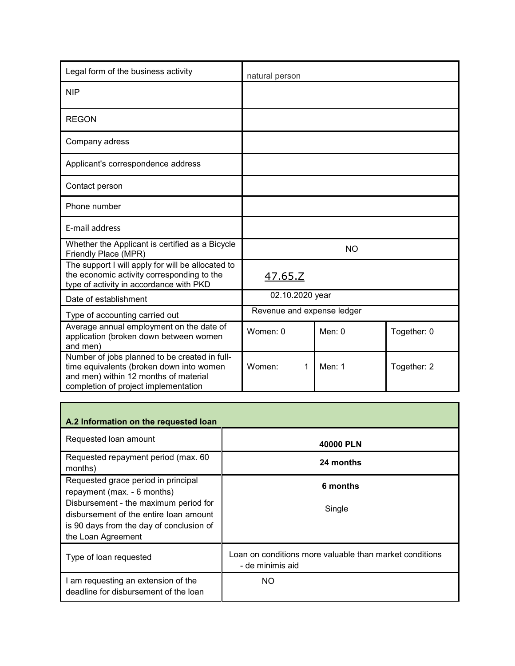| Legal form of the business activity                                                                                                                                        | natural person             |           |             |
|----------------------------------------------------------------------------------------------------------------------------------------------------------------------------|----------------------------|-----------|-------------|
| <b>NIP</b>                                                                                                                                                                 |                            |           |             |
| <b>REGON</b>                                                                                                                                                               |                            |           |             |
| Company adress                                                                                                                                                             |                            |           |             |
| Applicant's correspondence address                                                                                                                                         |                            |           |             |
| Contact person                                                                                                                                                             |                            |           |             |
| Phone number                                                                                                                                                               |                            |           |             |
| <b>F-mail address</b>                                                                                                                                                      |                            |           |             |
| Whether the Applicant is certified as a Bicycle<br>Friendly Place (MPR)                                                                                                    |                            | <b>NO</b> |             |
| The support I will apply for will be allocated to<br>the economic activity corresponding to the<br>type of activity in accordance with PKD                                 | 47.65.Z                    |           |             |
| Date of establishment                                                                                                                                                      | 02.10.2020 year            |           |             |
| Type of accounting carried out                                                                                                                                             | Revenue and expense ledger |           |             |
| Average annual employment on the date of<br>application (broken down between women<br>and men)                                                                             | Women: 0                   | Men: $0$  | Together: 0 |
| Number of jobs planned to be created in full-<br>time equivalents (broken down into women<br>and men) within 12 months of material<br>completion of project implementation | Women:<br>1                | Men: $1$  | Together: 2 |

| A.2 Information on the requested loan                                                                                                             |                                                                             |
|---------------------------------------------------------------------------------------------------------------------------------------------------|-----------------------------------------------------------------------------|
| Requested loan amount                                                                                                                             | 40000 PLN                                                                   |
| Requested repayment period (max. 60<br>months)                                                                                                    | 24 months                                                                   |
| Requested grace period in principal<br>repayment (max. - 6 months)                                                                                | 6 months                                                                    |
| Disbursement - the maximum period for<br>disbursement of the entire loan amount<br>is 90 days from the day of conclusion of<br>the Loan Agreement | Single                                                                      |
| Type of loan requested                                                                                                                            | Loan on conditions more valuable than market conditions<br>- de minimis aid |
| I am requesting an extension of the<br>deadline for disbursement of the loan                                                                      | NO.                                                                         |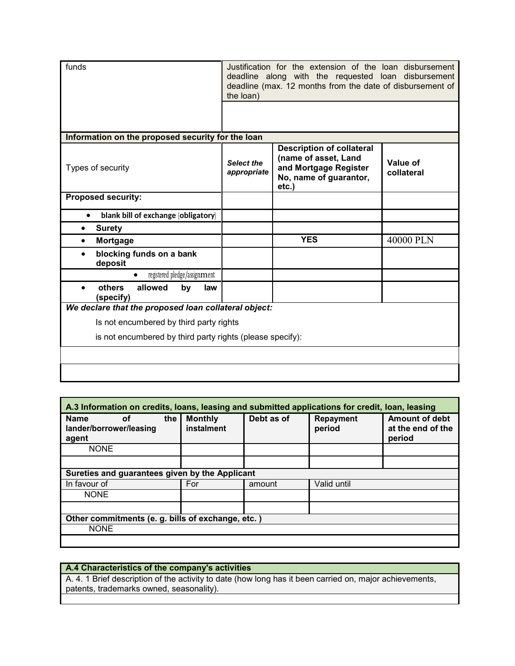| funds                                                    | Justification for the extension of the loan disbursement<br>deadline along with the requested loan disbursement<br>deadline (max. 12 months from the date of disbursement of<br>the loan) |                                                                                                                      |                        |  |  |
|----------------------------------------------------------|-------------------------------------------------------------------------------------------------------------------------------------------------------------------------------------------|----------------------------------------------------------------------------------------------------------------------|------------------------|--|--|
|                                                          |                                                                                                                                                                                           |                                                                                                                      |                        |  |  |
| Information on the proposed security for the loan        |                                                                                                                                                                                           |                                                                                                                      |                        |  |  |
| Types of security                                        | <b>Select the</b><br>appropriate                                                                                                                                                          | <b>Description of collateral</b><br>(name of asset, Land<br>and Mortgage Register<br>No, name of guarantor,<br>etc.) | Value of<br>collateral |  |  |
| <b>Proposed security:</b>                                |                                                                                                                                                                                           |                                                                                                                      |                        |  |  |
| blank bill of exchange (obligatory)<br>$\bullet$         |                                                                                                                                                                                           |                                                                                                                      |                        |  |  |
| <b>Surety</b><br>$\bullet$                               |                                                                                                                                                                                           |                                                                                                                      |                        |  |  |
| Mortgage<br>٠                                            |                                                                                                                                                                                           | <b>YES</b>                                                                                                           | 40000 PLN              |  |  |
| blocking funds on a bank<br>deposit                      |                                                                                                                                                                                           |                                                                                                                      |                        |  |  |
| registered pledge/assignment<br>$\bullet$                |                                                                                                                                                                                           |                                                                                                                      |                        |  |  |
| others<br>allowed<br>by<br>law<br>$\bullet$<br>(specify) |                                                                                                                                                                                           |                                                                                                                      |                        |  |  |
| We declare that the proposed loan collateral object:     |                                                                                                                                                                                           |                                                                                                                      |                        |  |  |
| Is not encumbered by third party rights                  |                                                                                                                                                                                           |                                                                                                                      |                        |  |  |
|                                                          | is not encumbered by third party rights (please specify):                                                                                                                                 |                                                                                                                      |                        |  |  |
|                                                          |                                                                                                                                                                                           |                                                                                                                      |                        |  |  |
|                                                          |                                                                                                                                                                                           |                                                                                                                      |                        |  |  |

| A.3 Information on credits, loans, leasing and submitted applications for credit, loan, leasing |     |                              |            |                            |                                                      |
|-------------------------------------------------------------------------------------------------|-----|------------------------------|------------|----------------------------|------------------------------------------------------|
| <b>Name</b><br>οf<br>lander/borrower/leasing<br>agent                                           | the | <b>Monthly</b><br>instalment | Debt as of | <b>Repayment</b><br>period | <b>Amount of debt</b><br>at the end of the<br>period |
| <b>NONE</b>                                                                                     |     |                              |            |                            |                                                      |
|                                                                                                 |     |                              |            |                            |                                                      |
| Sureties and guarantees given by the Applicant                                                  |     |                              |            |                            |                                                      |
| In favour of                                                                                    |     | For                          | amount     | Valid until                |                                                      |
| <b>NONE</b>                                                                                     |     |                              |            |                            |                                                      |
|                                                                                                 |     |                              |            |                            |                                                      |
| Other commitments (e. g. bills of exchange, etc.)                                               |     |                              |            |                            |                                                      |
| <b>NONE</b>                                                                                     |     |                              |            |                            |                                                      |
|                                                                                                 |     |                              |            |                            |                                                      |

# **A.4 Characteristics of the company's activities**

A. 4. 1 Brief description of the activity to date (how long has it been carried on, major achievements, patents, trademarks owned, seasonality).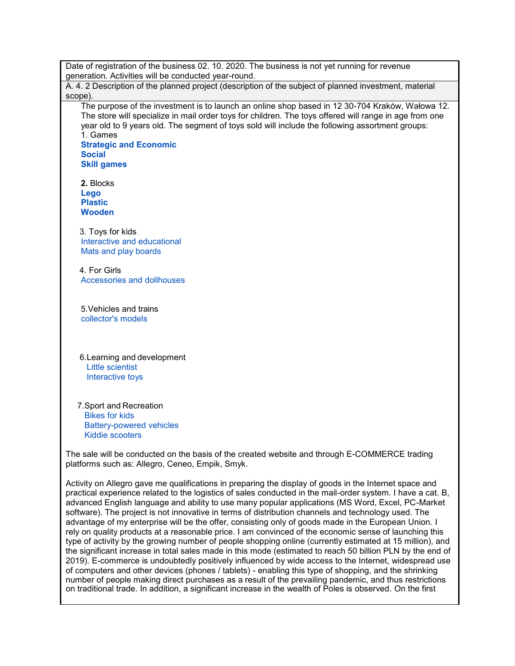Date of registration of the business 02. 10. 2020. The business is not yet running for revenue generation. Activities will be conducted year-round.

A. 4. 2 Description of the planned project (description of the subject of planned investment, material scope).

The purpose of the investment is to launch an online shop based in 12 30-704 Kraków, Wałowa 12. The store will specialize in mail order toys for children. The toys offered will range in age from one year old to 9 years old. The segment of toys sold will include the following assortment groups: 1. Games

**Strategic and Economic Social Skill games**

**2.** Blocks **Lego Plastic Wooden**

3. Toys for kids Interactive and educational Mats and play boards

4. For Girls Accessories and dollhouses

5.Vehicles and trains collector's models

6.Learning and development Little scientist Interactive toys

7.Sport and Recreation Bikes for kids Battery-powered vehicles Kiddie scooters

The sale will be conducted on the basis of the created website and through E-COMMERCE trading platforms such as: Allegro, Ceneo, Empik, Smyk.

Activity on Allegro gave me qualifications in preparing the display of goods in the Internet space and practical experience related to the logistics of sales conducted in the mail-order system. I have a cat. B, advanced English language and ability to use many popular applications (MS Word, Excel, PC-Market software). The project is not innovative in terms of distribution channels and technology used. The advantage of my enterprise will be the offer, consisting only of goods made in the European Union. I rely on quality products at a reasonable price. I am convinced of the economic sense of launching this type of activity by the growing number of people shopping online (currently estimated at 15 million), and the significant increase in total sales made in this mode (estimated to reach 50 billion PLN by the end of 2019). E-commerce is undoubtedly positively influenced by wide access to the Internet, widespread use of computers and other devices (phones / tablets) - enabling this type of shopping, and the shrinking number of people making direct purchases as a result of the prevailing pandemic, and thus restrictions on traditional trade. In addition, a significant increase in the wealth of Poles is observed. On the first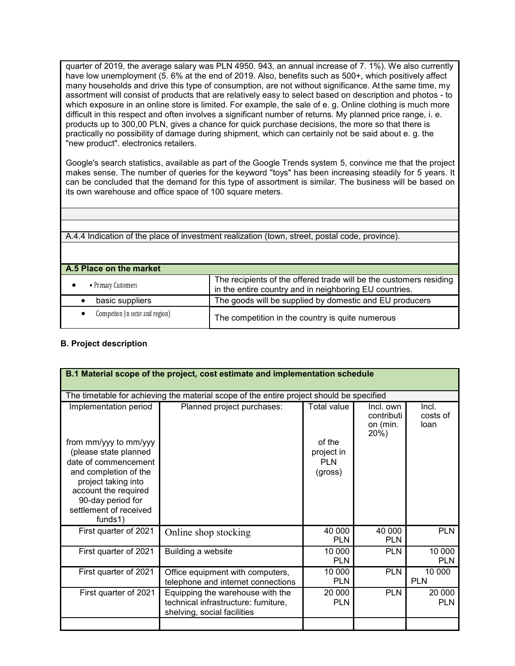quarter of 2019, the average salary was PLN 4950. 943, an annual increase of 7. 1%). We also currently have low unemployment (5. 6% at the end of 2019. Also, benefits such as 500+, which positively affect many households and drive this type of consumption, are not without significance. At the same time, my assortment will consist of products that are relatively easy to select based on description and photos - to which exposure in an online store is limited. For example, the sale of e. g. Online clothing is much more difficult in this respect and often involves a significant number of returns. My planned price range, i. e. products up to 300,00 PLN, gives a chance for quick purchase decisions, the more so that there is practically no possibility of damage during shipment, which can certainly not be said about e. g. the "new product". electronics retailers.

Google's search statistics, available as part of the Google Trends system 5, convince me that the project makes sense. The number of queries for the keyword "toys" has been increasing steadily for 5 years. It can be concluded that the demand for this type of assortment is similar. The business will be based on its own warehouse and office space of 100 square meters.

A.4.4 Indication of the place of investment realization (town, street, postal code, province).

| A.5 Place on the market            |                                                                                                                              |
|------------------------------------|------------------------------------------------------------------------------------------------------------------------------|
| • Primary Customers                | The recipients of the offered trade will be the customers residing<br>in the entire country and in neighboring EU countries. |
| basic suppliers                    | The goods will be supplied by domestic and EU producers                                                                      |
| Competition (in sector and region) | The competition in the country is quite numerous                                                                             |

#### **B. Project description**

| B.1 Material scope of the project, cost estimate and implementation schedule                                                                                                                                                      |                                                                                                         |                                                              |                                             |                           |  |
|-----------------------------------------------------------------------------------------------------------------------------------------------------------------------------------------------------------------------------------|---------------------------------------------------------------------------------------------------------|--------------------------------------------------------------|---------------------------------------------|---------------------------|--|
|                                                                                                                                                                                                                                   | The timetable for achieving the material scope of the entire project should be specified                |                                                              |                                             |                           |  |
| Implementation period<br>from mm/yyy to mm/yyy<br>(please state planned<br>date of commencement<br>and completion of the<br>project taking into<br>account the required<br>90-day period for<br>settlement of received<br>funds1) | Planned project purchases:                                                                              | Total value<br>of the<br>project in<br><b>PLN</b><br>(gross) | Incl. own<br>contributi<br>on (min.<br>20%) | Incl.<br>costs of<br>loan |  |
| First quarter of 2021                                                                                                                                                                                                             | Online shop stocking                                                                                    | 40 000<br><b>PLN</b>                                         | 40 000<br><b>PLN</b>                        | <b>PLN</b>                |  |
| First quarter of 2021                                                                                                                                                                                                             | Building a website                                                                                      | 10 000<br><b>PLN</b>                                         | <b>PLN</b>                                  | 10 000<br><b>PLN</b>      |  |
| First quarter of 2021                                                                                                                                                                                                             | Office equipment with computers,<br>telephone and internet connections                                  | 10 000<br><b>PLN</b>                                         | <b>PLN</b>                                  | 10 000<br>PLN             |  |
| First quarter of 2021                                                                                                                                                                                                             | Equipping the warehouse with the<br>technical infrastructure: furniture,<br>shelving, social facilities | 20 000<br><b>PLN</b>                                         | <b>PLN</b>                                  | 20 000<br><b>PLN</b>      |  |
|                                                                                                                                                                                                                                   |                                                                                                         |                                                              |                                             |                           |  |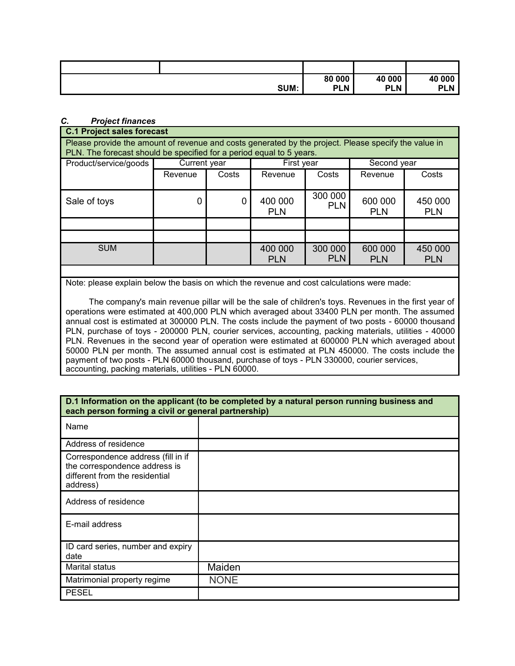|      | 80 000     | 40 000     | 40 000     |
|------|------------|------------|------------|
| SUM: | <b>PLN</b> | <b>PLN</b> | <b>PLN</b> |

#### *C. Project finances*

#### **C.1 Project sales forecast**

Please provide the amount of revenue and costs generated by the project. Please specify the value in PLN. The forecast should be specified for a period equal to 5 years.

| Product/service/goods | Current year |       |                       | First year            |                       | Second year           |  |
|-----------------------|--------------|-------|-----------------------|-----------------------|-----------------------|-----------------------|--|
|                       | Revenue      | Costs | Revenue               | Costs                 | Revenue               | Costs                 |  |
| Sale of toys          | 0            | 0     | 400 000<br><b>PLN</b> | 300 000<br><b>PLN</b> | 600 000<br><b>PLN</b> | 450 000<br><b>PLN</b> |  |
|                       |              |       |                       |                       |                       |                       |  |
|                       |              |       |                       |                       |                       |                       |  |
| <b>SUM</b>            |              |       | 400 000<br><b>PLN</b> | 300 000<br><b>PLN</b> | 600 000<br><b>PLN</b> | 450 000<br><b>PLN</b> |  |
|                       |              |       |                       |                       |                       |                       |  |

Note: please explain below the basis on which the revenue and cost calculations were made:

The company's main revenue pillar will be the sale of children's toys. Revenues in the first year of operations were estimated at 400,000 PLN which averaged about 33400 PLN per month. The assumed annual cost is estimated at 300000 PLN. The costs include the payment of two posts - 60000 thousand PLN, purchase of toys - 200000 PLN, courier services, accounting, packing materials, utilities - 40000 PLN. Revenues in the second year of operation were estimated at 600000 PLN which averaged about 50000 PLN per month. The assumed annual cost is estimated at PLN 450000. The costs include the payment of two posts - PLN 60000 thousand, purchase of toys - PLN 330000, courier services, accounting, packing materials, utilities - PLN 60000.

| D.1 Information on the applicant (to be completed by a natural person running business and<br>each person forming a civil or general partnership) |             |  |  |  |
|---------------------------------------------------------------------------------------------------------------------------------------------------|-------------|--|--|--|
| Name                                                                                                                                              |             |  |  |  |
| Address of residence                                                                                                                              |             |  |  |  |
| Correspondence address (fill in if<br>the correspondence address is<br>different from the residential<br>address)                                 |             |  |  |  |
| Address of residence                                                                                                                              |             |  |  |  |
| E-mail address                                                                                                                                    |             |  |  |  |
| ID card series, number and expiry<br>date                                                                                                         |             |  |  |  |
| <b>Marital status</b>                                                                                                                             | Maiden      |  |  |  |
| Matrimonial property regime                                                                                                                       | <b>NONE</b> |  |  |  |
| <b>PESEL</b>                                                                                                                                      |             |  |  |  |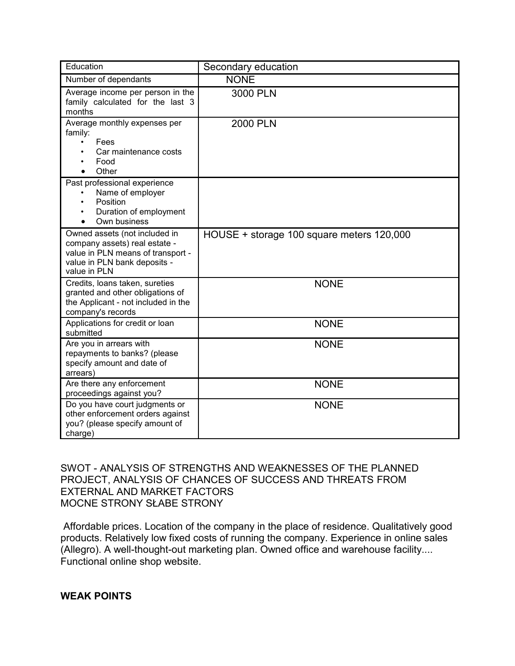| Education                                                                                                                                           | Secondary education                       |
|-----------------------------------------------------------------------------------------------------------------------------------------------------|-------------------------------------------|
| Number of dependants                                                                                                                                | <b>NONE</b>                               |
| Average income per person in the<br>family calculated for the last 3<br>months                                                                      | 3000 PLN                                  |
| Average monthly expenses per<br>family:<br>Fees<br>Car maintenance costs<br>Food<br>Other                                                           | 2000 PLN                                  |
| Past professional experience<br>Name of employer<br>Position<br>Duration of employment<br>Own business                                              |                                           |
| Owned assets (not included in<br>company assets) real estate -<br>value in PLN means of transport -<br>value in PLN bank deposits -<br>value in PLN | HOUSE + storage 100 square meters 120,000 |
| Credits, Ioans taken, sureties<br>granted and other obligations of<br>the Applicant - not included in the<br>company's records                      | <b>NONE</b>                               |
| Applications for credit or loan<br>submitted                                                                                                        | <b>NONE</b>                               |
| Are you in arrears with<br>repayments to banks? (please<br>specify amount and date of<br>arrears)                                                   | <b>NONE</b>                               |
| Are there any enforcement<br>proceedings against you?                                                                                               | <b>NONE</b>                               |
| Do you have court judgments or<br>other enforcement orders against<br>you? (please specify amount of<br>charge)                                     | <b>NONE</b>                               |

SWOT - ANALYSIS OF STRENGTHS AND WEAKNESSES OF THE PLANNED PROJECT, ANALYSIS OF CHANCES OF SUCCESS AND THREATS FROM EXTERNAL AND MARKET FACTORS MOCNE STRONY SŁABE STRONY

Affordable prices. Location of the company in the place of residence. Qualitatively good products. Relatively low fixed costs of running the company. Experience in online sales (Allegro). A well-thought-out marketing plan. Owned office and warehouse facility.... Functional online shop website.

**WEAK POINTS**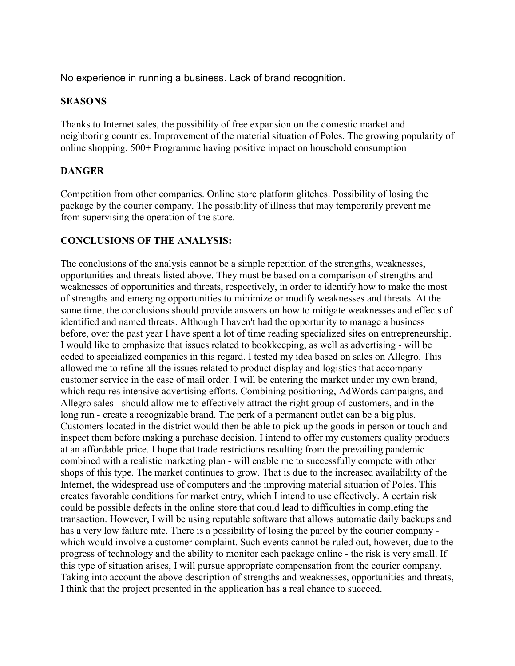No experience in running a business. Lack of brand recognition.

### **SEASONS**

Thanks to Internet sales, the possibility of free expansion on the domestic market and neighboring countries. Improvement of the material situation of Poles. The growing popularity of online shopping. 500+ Programme having positive impact on household consumption

# **DANGER**

Competition from other companies. Online store platform glitches. Possibility of losing the package by the courier company. The possibility of illness that may temporarily prevent me from supervising the operation of the store.

# **CONCLUSIONS OF THE ANALYSIS:**

The conclusions of the analysis cannot be a simple repetition of the strengths, weaknesses, opportunities and threats listed above. They must be based on a comparison of strengths and weaknesses of opportunities and threats, respectively, in order to identify how to make the most of strengths and emerging opportunities to minimize or modify weaknesses and threats. At the same time, the conclusions should provide answers on how to mitigate weaknesses and effects of identified and named threats. Although I haven't had the opportunity to manage a business before, over the past year I have spent a lot of time reading specialized sites on entrepreneurship. I would like to emphasize that issues related to bookkeeping, as well as advertising - will be ceded to specialized companies in this regard. I tested my idea based on sales on Allegro. This allowed me to refine all the issues related to product display and logistics that accompany customer service in the case of mail order. I will be entering the market under my own brand, which requires intensive advertising efforts. Combining positioning, AdWords campaigns, and Allegro sales - should allow me to effectively attract the right group of customers, and in the long run - create a recognizable brand. The perk of a permanent outlet can be a big plus. Customers located in the district would then be able to pick up the goods in person or touch and inspect them before making a purchase decision. I intend to offer my customers quality products at an affordable price. I hope that trade restrictions resulting from the prevailing pandemic combined with a realistic marketing plan - will enable me to successfully compete with other shops of this type. The market continues to grow. That is due to the increased availability of the Internet, the widespread use of computers and the improving material situation of Poles. This creates favorable conditions for market entry, which I intend to use effectively. A certain risk could be possible defects in the online store that could lead to difficulties in completing the transaction. However, I will be using reputable software that allows automatic daily backups and has a very low failure rate. There is a possibility of losing the parcel by the courier company which would involve a customer complaint. Such events cannot be ruled out, however, due to the progress of technology and the ability to monitor each package online - the risk is very small. If this type of situation arises, I will pursue appropriate compensation from the courier company. Taking into account the above description of strengths and weaknesses, opportunities and threats, I think that the project presented in the application has a real chance to succeed.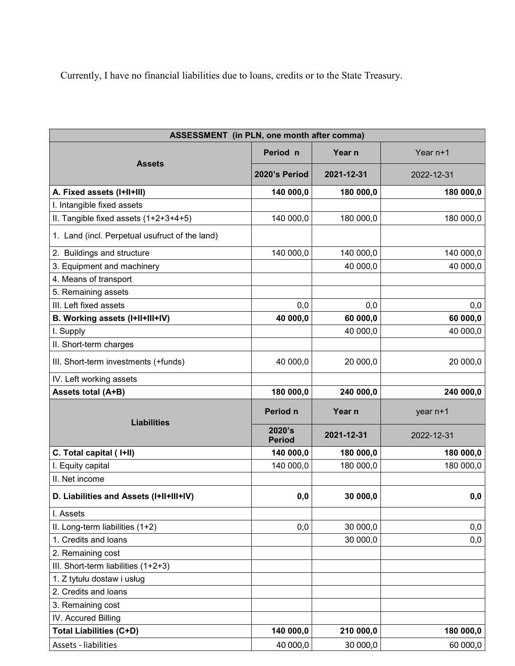Currently, I have no financial liabilities due to loans, credits or to the State Treasury.

| ASSESSMENT (in PLN, one month after comma)     |                         |            |            |  |  |  |
|------------------------------------------------|-------------------------|------------|------------|--|--|--|
| <b>Assets</b>                                  | Period n                | Year n     | Year n+1   |  |  |  |
|                                                | 2020's Period           | 2021-12-31 | 2022-12-31 |  |  |  |
| A. Fixed assets (I+II+III)                     | 140 000,0               | 180 000,0  | 180 000,0  |  |  |  |
| I. Intangible fixed assets                     |                         |            |            |  |  |  |
| II. Tangible fixed assets (1+2+3+4+5)          | 140 000,0               | 180 000,0  | 180 000,0  |  |  |  |
| 1. Land (incl. Perpetual usufruct of the land) |                         |            |            |  |  |  |
| 2. Buildings and structure                     | 140 000,0               | 140 000,0  | 140 000,0  |  |  |  |
| 3. Equipment and machinery                     |                         | 40 000,0   | 40 000,0   |  |  |  |
| 4. Means of transport                          |                         |            |            |  |  |  |
| 5. Remaining assets                            |                         |            |            |  |  |  |
| III. Left fixed assets                         | 0,0                     | 0,0        | 0,0        |  |  |  |
| B. Working assets (I+II+III+IV)                | 40 000,0                | 60 000,0   | 60 000,0   |  |  |  |
| I. Supply                                      |                         | 40 000,0   | 40 000,0   |  |  |  |
| II. Short-term charges                         |                         |            |            |  |  |  |
| III. Short-term investments (+funds)           | 40 000,0                | 20 000,0   | 20 000,0   |  |  |  |
| IV. Left working assets                        |                         |            |            |  |  |  |
| Assets total (A+B)                             | 180 000,0               | 240 000,0  | 240 000,0  |  |  |  |
| <b>Liabilities</b>                             | Period n                | Year n     | year n+1   |  |  |  |
|                                                | 2020's<br><b>Period</b> | 2021-12-31 | 2022-12-31 |  |  |  |
| C. Total capital (I+II)                        | 140 000,0               | 180 000,0  | 180 000,0  |  |  |  |
| I. Equity capital                              | 140 000,0               | 180 000,0  | 180 000,0  |  |  |  |
| II. Net income                                 |                         |            |            |  |  |  |
| D. Liabilities and Assets (I+II+III+IV)        | 0,0                     | 30 000,0   | 0,0        |  |  |  |
| I. Assets                                      |                         |            |            |  |  |  |
| II. Long-term liabilities (1+2)                | 0,0                     | 30 000,0   | 0,0        |  |  |  |
| 1. Credits and loans                           |                         | 30 000,0   | 0,0        |  |  |  |
| 2. Remaining cost                              |                         |            |            |  |  |  |
| III. Short-term liabilities (1+2+3)            |                         |            |            |  |  |  |
| 1. Z tytułu dostaw i usług                     |                         |            |            |  |  |  |
| 2. Credits and loans                           |                         |            |            |  |  |  |
| 3. Remaining cost                              |                         |            |            |  |  |  |
| IV. Accured Billing                            |                         |            |            |  |  |  |
| <b>Total Liabilities (C+D)</b>                 | 140 000,0               | 210 000,0  | 180 000,0  |  |  |  |
| Assets - liabilities                           | 40 000,0                | 30 000,0   | 60 000,0   |  |  |  |